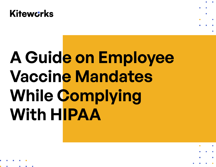# **A Guide on Employee Vaccine Mandates While Complying With HIPAA**

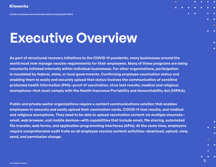**A Guide on Employee Vaccine Mandates While Complying With HIPAA**

## **Executive Overview**

**As part of structured recovery initiatives to the COVID-19 pandemic, many businesses around the world must now manage vaccine requirements for their employees. Many of these programs are being voluntarily initiated internally within individual businesses. For other organizations, participation is mandated by federal, state, or local governments. Confirming employee vaccination status and enabling them to easily and securely upload that status involves the communication of sensitive protected health information (PHI)—proof of vaccination, virus test results, medical and religious exemptions—that must comply with the Health Insurance Portability and Accountability Act (HIPAA).** 

**Public and private sector organizations require a content communications solution that enables employees to securely and easily upload their vaccination cards, COVID-19 test results, and medical and religious exemptions. They need to be able to upload vaccination content via multiple channels email, web browser, and mobile devices—with capabilities that include email, file sharing, automated file transfer, web forms, and application programming interfaces (APIs). At the same time, employers require comprehensive audit trails on all employee vaccine content activities—download, upload, view, send, and permission change.** 

**2.**

 $\blacksquare$ 

 $\mathbf{r}$ 

п

 $\mathbf{r}$ 

п

n

**DOC NUMBER:12345XXXX**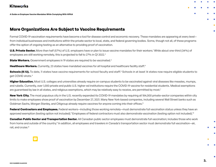**A Guide on Employee Vaccine Mandates While Complying With HIPAA**

#### **More Organizations Are Subject to Vaccine Requirements**

Formal COVID-19 vaccination requirements have become a tool for disease control and economic recovery. These mandates are appearing at every level from individual businesses and institutions within the private sector to local, state, and federal governing bodies. Some, though not all, of these programs offer the option of ongoing testing as an alternative to providing proof of vaccination.

**U.S. Private Sector.** More than half (57%) of U.S. employers have or plan to issue vaccine mandates for their workers.' While about one-third (34%) of employees are still working remotely, this is projected to fall to 27% in Q1 2022.<sup>2</sup>

**State Workers.** Government employees in 19 states are required to be vaccinated.<sup>3</sup>

**Healthcare Workers.** Currently, 23 states have mandated vaccines for all hospital and healthcare facility staff.<sup>4</sup>

**Schools (K-12).** To date, 11 states have vaccine requirements for school faculty and staff.<sup>5</sup> Schools in at least 14 states now require eligible students to get COVID shots.<sup>6</sup>

**Higher Education.** Most U.S. colleges and universities already require on-campus students to be vaccinated against viral diseases like measles, mumps, and rubella. Currently, over 1,000 private and public U.S. higher-ed institutions require the COVID-19 vaccine for residential students. Medical exemptions are guaranteed by law in all states, and religious exemptions, which may be relatively easy to receive, are permitted by most.<sup>7</sup>

**New York City.** The most populous city in the U.S. recently expanded its COVID-19 mandates by requiring all 184,000 private-sector companies within city limits to make employees show proof of vaccination by December 27, 2021. Many New York-based companies, including several Wall Street banks such as Goldman Sachs, Morgan Stanley, and Citigroup already require vaccines for anyone coming into their offices.<sup>8</sup>

**Federal Contractors and Employees.** Federal workers—including those working remotely—must demonstrate full vaccination status unless they have an approved exemption (testing option not included).° Employees of federal contractors must also demonstrate vaccination (testing option not included).'º

**Canadian Public Sector and Transportation Sector.** All Canadian public sector employees must demonstrate full vaccination; includes those who work from home and outside of the country.<sup>11</sup> In addition, all employees and travelers in Canada's transportation sector must demonstrate full vaccination—air, rail, and cruise.<sup>12</sup>



 $\overline{\mathbb{R}^2}$ 

 $\Box$ 

L.

I.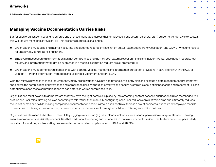**A Guide on Employee Vaccine Mandates While Complying With HIPAA**

### **Managing Vaccine Documentation Carries Risks**

But for each organization needing to enforce one of these mandates (across their employees, contractors, partners, staff, students, vendors, visitors, etc.), this will require managing a trove of PHI. This presents numerous challenges:

- Organizations must build and maintain accurate and updated records of vaccination status, exemptions from vaccination, and COVID-19 testing results for employees, contractors, and others.
- Employers must secure this information against compromise and theft by both external cyber criminals and insider threats. Vaccination records, test results, and information that might be submitted in a medical exemption request are all protected PHI.
- Organizations must demonstrate compliance with both the vaccine mandate and information protection provisions in laws like HIPAA in the U.S. or Canada's Personal Information Protection and Electronic Documents Act (PIPEDA).

With the relative newness of these requirements, many organizations have not had time to sufficiently plan and execute a data management program that anticipates the complexities of governance and compliance risks. Without an effective and secure system in place, deficient sharing and transfer of PHI can potentially expose these communications to bad actors as well as compliance risks.

Organizations must be able to demonstrate that they have the right controls in place by implementing content access and functional rules matched to risk profiles and user roles. Setting policies according to role rather than manually configuring each user reduces administration time and ultimately reduces the risk of human error while making compliance documentation easier. Without such controls, there is a risk of accidental exposure of employee records to peers due to missing access controls, or unencrypted attachments sent through email due to missing encryption policies.

Organizations also need to be able to track PHI by logging every action (e.g., downloads, uploads, views, sends, permission changes). Detailed tracking ensures comprehensive visibility—capabilities that traditional file sharing and collaboration tools alone cannot provide. This feature becomes particularly important for auditing and reporting processes to demonstrate compliance with HIPAA and PIPEDA.

 $\blacksquare$ 

L.

п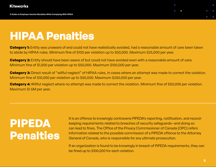

### **HIPAA Penalties**

**Category 1:** Entity was unaware of and could not have realistically avoided, had a reasonable amount of care been taken to abide by HIPAA rules. Minimum fine of \$100 per violation up to \$50,000. Maximum \$25,000 per year.

**Category 2:** Entity should have been aware of but could not have avoided even with a reasonable amount of care. Minimum fine of \$1,000 per violation up to \$50,000. Maximum \$100,000 per year.

**Category 3:** Direct result of "willful neglect" of HIPAA rules, in cases where an attempt was made to correct the violation. Minimum fine of \$10,000 per violation up to \$50,000. Maximum \$250,000 per year.

**Category 4:** Willful neglect where no attempt was made to correct the violation. Minimum fine of \$50,000 per violation. Maximum \$1.5M per year.

### **PIPEDA Penalties**

It is an offence to knowingly contravene PIPEDA's reporting, notification, and recordkeeping requirements related to breaches of security safeguards—and doing so can lead to fines. The Office of the Privacy Commissioner of Canada (OPC) refers information related to the possible commission of a PIPEDA offence to the Attorney General of Canada, who is responsible for any ultimate prosecution.

If an organization is found to be knowingly in breach of PIPEDA requirements, they can be fined up to \$100,000 for each violation.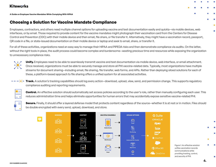**A Guide on Employee Vaccine Mandates While Complying With HIPAA**

### **Choosing a Solution for Vaccine Mandate Compliance**

Employees, contractors, and others need multiple channel options for uploading vaccine and test documentation easily and quickly—via mobile devices, web interfaces, or by email. Those required to provide content for the vaccine mandates might photograph their vaccination card from the Centers for Disease Control and Prevention (CDC) with their mobile device and then email, file share, or file transfer it. Alternatively, they might have a vaccination record, passport, QR code in a file, or state-issued documentation on their mobile device or laptop and seek to email, share, or transfer it.

For all of these activities, organizations need an easy way to manage their HIPAA and PIPEDA risks and then demonstrate compliance via audits. On the latter, without the right tools in place, the audit process could become complex and burdensome—wasting precious time and resources while exposing the organization to unnecessary compliance risks.



**Unify.** Employees need to be able to seamlessly transmit vaccine and test documentation via mobile device, web interface, or email attachment. Once received, organizations must be able to securely manage and store all PHI vaccine-related data. Typically, most organizations have multiple streams for document sharing—including email, file sharing, file transfer, web forms, and APIs. Rather than deploying siloed solutions for each of these, a platform-based approach to file sharing offers a unified system for all associated activities.



**Track.** A solution's tracking capabilities should log every action—download, upload, view, send, and permission change. This supports regulatory compliance auditing and reporting requirements.



**Control.** An effective solution should automatically set access policies according to the user's role, rather than manually configuring each user. This reduces administration time and helps eliminate opportunities for human errors that may accidentally expose sensitive vaccine-related PHI.

**Secure.** Finally, it should offer a layered defense model that protects content regardless of the source—whether it is at rest or in motion. Files should be double encrypted with every send, upload, download, and store.





л